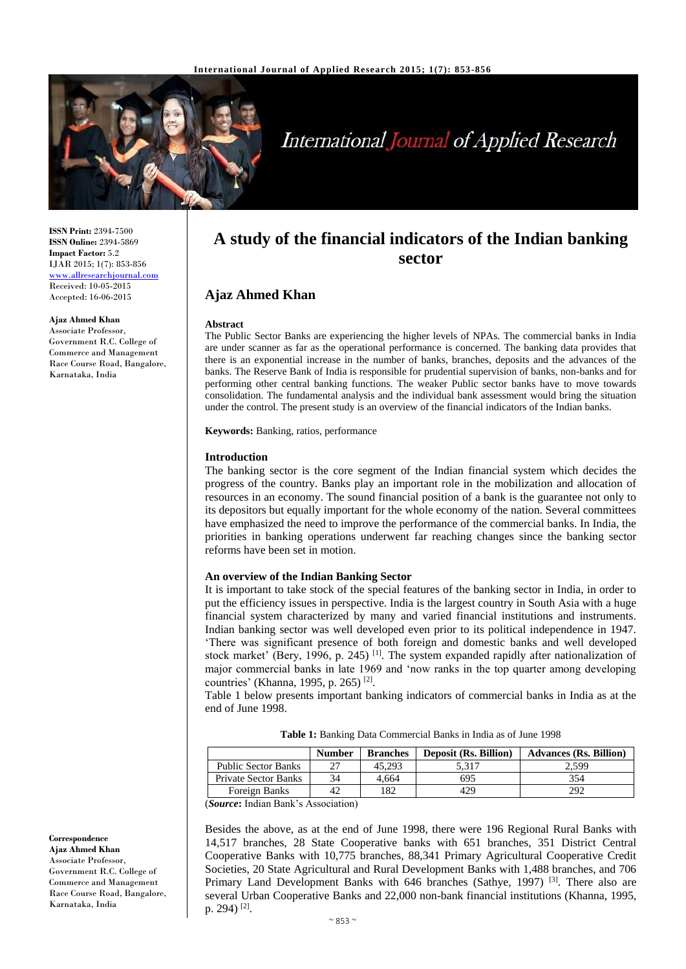

# **International Journal of Applied Research**

**ISSN Print:** 2394-7500 **ISSN Online:** 2394-5869 **Impact Factor:** 5.2 IJAR 2015; 1(7): 853-856 [www.allresearchjournal.com](http://www.allresearchjournal.com/) Received: 10-05-2015 Accepted: 16-06-2015

#### **Ajaz Ahmed Khan**

Associate Professor, Government R.C. College of Commerce and Management Race Course Road, Bangalore, Karnataka, India

**A study of the financial indicators of the Indian banking sector**

# **Ajaz Ahmed Khan**

#### **Abstract**

The Public Sector Banks are experiencing the higher levels of NPAs. The commercial banks in India are under scanner as far as the operational performance is concerned. The banking data provides that there is an exponential increase in the number of banks, branches, deposits and the advances of the banks. The Reserve Bank of India is responsible for prudential supervision of banks, non-banks and for performing other central banking functions. The weaker Public sector banks have to move towards consolidation. The fundamental analysis and the individual bank assessment would bring the situation under the control. The present study is an overview of the financial indicators of the Indian banks.

**Keywords:** Banking, ratios, performance

#### **Introduction**

The banking sector is the core segment of the Indian financial system which decides the progress of the country. Banks play an important role in the mobilization and allocation of resources in an economy. The sound financial position of a bank is the guarantee not only to its depositors but equally important for the whole economy of the nation. Several committees have emphasized the need to improve the performance of the commercial banks. In India, the priorities in banking operations underwent far reaching changes since the banking sector reforms have been set in motion.

### **An overview of the Indian Banking Sector**

It is important to take stock of the special features of the banking sector in India, in order to put the efficiency issues in perspective. India is the largest country in South Asia with a huge financial system characterized by many and varied financial institutions and instruments. Indian banking sector was well developed even prior to its political independence in 1947. 'There was significant presence of both foreign and domestic banks and well developed stock market' (Bery, 1996, p. 245)<sup>[1]</sup>. The system expanded rapidly after nationalization of major commercial banks in late 1969 and 'now ranks in the top quarter among developing countries' (Khanna, 1995, p. 265)<sup>[2]</sup>.

Table 1 below presents important banking indicators of commercial banks in India as at the end of June 1998.

**Table 1:** Banking Data Commercial Banks in India as of June 1998

|                             | <b>Number</b> | <b>Branches</b> | <b>Deposit (Rs. Billion)</b> | <b>Advances (Rs. Billion)</b> |
|-----------------------------|---------------|-----------------|------------------------------|-------------------------------|
| <b>Public Sector Banks</b>  |               | 45.293          | 5.317                        | 2.599                         |
| <b>Private Sector Banks</b> | 34            | 4.664           | 695                          | 354                           |
| Foreign Banks               |               | 182             | 429                          | 292                           |

(*Source***:** Indian Bank's Association)

Besides the above, as at the end of June 1998, there were 196 Regional Rural Banks with 14,517 branches, 28 State Cooperative banks with 651 branches, 351 District Central Cooperative Banks with 10,775 branches, 88,341 Primary Agricultural Cooperative Credit Societies, 20 State Agricultural and Rural Development Banks with 1,488 branches, and 706 Primary Land Development Banks with 646 branches (Sathye, 1997) [3]. There also are several Urban Cooperative Banks and 22,000 non-bank financial institutions (Khanna, 1995, p. 294)<sup>[2]</sup>.

**Correspondence Ajaz Ahmed Khan** Associate Professor, Government R.C. College of Commerce and Management Race Course Road, Bangalore, Karnataka, India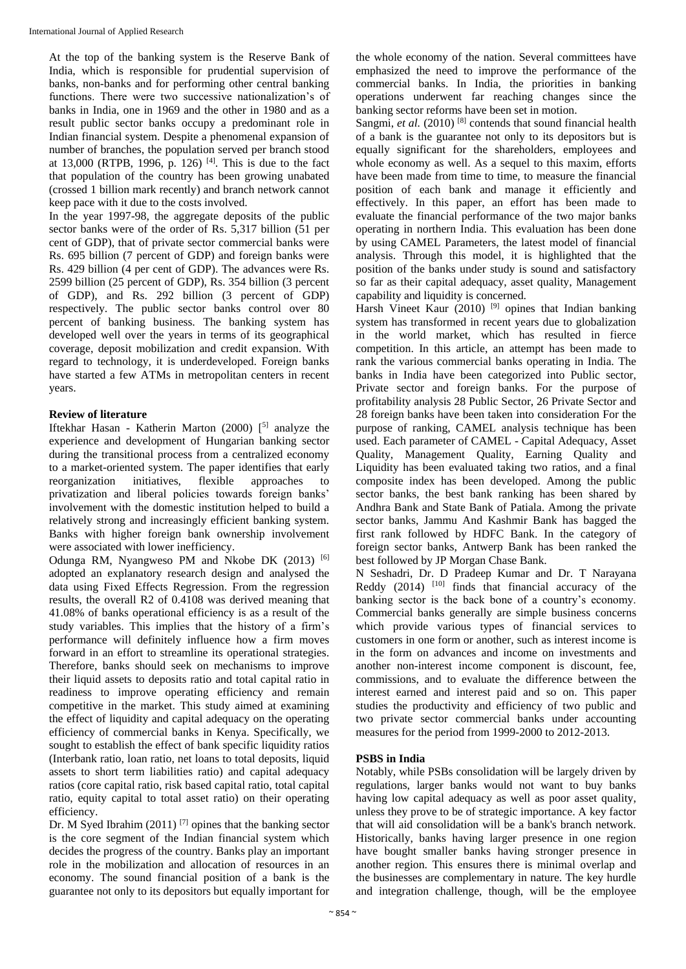At the top of the banking system is the Reserve Bank of India, which is responsible for prudential supervision of banks, non-banks and for performing other central banking functions. There were two successive nationalization's of banks in India, one in 1969 and the other in 1980 and as a result public sector banks occupy a predominant role in Indian financial system. Despite a phenomenal expansion of number of branches, the population served per branch stood at 13,000 (RTPB, 1996, p. 126) <sup>[4]</sup>. This is due to the fact that population of the country has been growing unabated (crossed 1 billion mark recently) and branch network cannot keep pace with it due to the costs involved.

In the year 1997-98, the aggregate deposits of the public sector banks were of the order of Rs. 5,317 billion (51 per cent of GDP), that of private sector commercial banks were Rs. 695 billion (7 percent of GDP) and foreign banks were Rs. 429 billion (4 per cent of GDP). The advances were Rs. 2599 billion (25 percent of GDP), Rs. 354 billion (3 percent of GDP), and Rs. 292 billion (3 percent of GDP) respectively. The public sector banks control over 80 percent of banking business. The banking system has developed well over the years in terms of its geographical coverage, deposit mobilization and credit expansion. With regard to technology, it is underdeveloped. Foreign banks have started a few ATMs in metropolitan centers in recent years.

# **Review of literature**

Iftekhar Hasan - Katherin Marton (2000) [ 5] analyze the experience and development of Hungarian banking sector during the transitional process from a centralized economy to a market-oriented system. The paper identifies that early reorganization initiatives, flexible approaches to privatization and liberal policies towards foreign banks' involvement with the domestic institution helped to build a relatively strong and increasingly efficient banking system. Banks with higher foreign bank ownership involvement were associated with lower inefficiency.

Odunga RM, Nyangweso PM and Nkobe DK (2013) [6] adopted an explanatory research design and analysed the data using Fixed Effects Regression. From the regression results, the overall R2 of 0.4108 was derived meaning that 41.08% of banks operational efficiency is as a result of the study variables. This implies that the history of a firm's performance will definitely influence how a firm moves forward in an effort to streamline its operational strategies. Therefore, banks should seek on mechanisms to improve their liquid assets to deposits ratio and total capital ratio in readiness to improve operating efficiency and remain competitive in the market. This study aimed at examining the effect of liquidity and capital adequacy on the operating efficiency of commercial banks in Kenya. Specifically, we sought to establish the effect of bank specific liquidity ratios (Interbank ratio, loan ratio, net loans to total deposits, liquid assets to short term liabilities ratio) and capital adequacy ratios (core capital ratio, risk based capital ratio, total capital ratio, equity capital to total asset ratio) on their operating efficiency.

Dr. M Syed Ibrahim (2011)<sup>[7]</sup> opines that the banking sector is the core segment of the Indian financial system which decides the progress of the country. Banks play an important role in the mobilization and allocation of resources in an economy. The sound financial position of a bank is the guarantee not only to its depositors but equally important for

the whole economy of the nation. Several committees have emphasized the need to improve the performance of the commercial banks. In India, the priorities in banking operations underwent far reaching changes since the banking sector reforms have been set in motion.

Sangmi, *et al.* (2010)<sup>[8]</sup> contends that sound financial health of a bank is the guarantee not only to its depositors but is equally significant for the shareholders, employees and whole economy as well. As a sequel to this maxim, efforts have been made from time to time, to measure the financial position of each bank and manage it efficiently and effectively. In this paper, an effort has been made to evaluate the financial performance of the two major banks operating in northern India. This evaluation has been done by using CAMEL Parameters, the latest model of financial analysis. Through this model, it is highlighted that the position of the banks under study is sound and satisfactory so far as their capital adequacy, asset quality, Management capability and liquidity is concerned.

Harsh Vineet Kaur (2010)<sup>[9]</sup> opines that Indian banking system has transformed in recent years due to globalization in the world market, which has resulted in fierce competition. In this article, an attempt has been made to rank the various commercial banks operating in India. The banks in India have been categorized into Public sector, Private sector and foreign banks. For the purpose of profitability analysis 28 Public Sector, 26 Private Sector and 28 foreign banks have been taken into consideration For the purpose of ranking, CAMEL analysis technique has been used. Each parameter of CAMEL - Capital Adequacy, Asset Quality, Management Quality, Earning Quality and Liquidity has been evaluated taking two ratios, and a final composite index has been developed. Among the public sector banks, the best bank ranking has been shared by Andhra Bank and State Bank of Patiala. Among the private sector banks, Jammu And Kashmir Bank has bagged the first rank followed by HDFC Bank. In the category of foreign sector banks, Antwerp Bank has been ranked the best followed by JP Morgan Chase Bank.

N Seshadri, Dr. D Pradeep Kumar and Dr. T Narayana Reddy  $(2014)$   $[10]$  finds that financial accuracy of the banking sector is the back bone of a country's economy. Commercial banks generally are simple business concerns which provide various types of financial services to customers in one form or another, such as interest income is in the form on advances and income on investments and another non-interest income component is discount, fee, commissions, and to evaluate the difference between the interest earned and interest paid and so on. This paper studies the productivity and efficiency of two public and two private sector commercial banks under accounting measures for the period from 1999-2000 to 2012-2013.

## **PSBS in India**

Notably, while PSBs consolidation will be largely driven by regulations, larger banks would not want to buy banks having low capital adequacy as well as poor asset quality, unless they prove to be of strategic importance. A key factor that will aid consolidation will be a bank's branch network. Historically, banks having larger presence in one region have bought smaller banks having stronger presence in another region. This ensures there is minimal overlap and the businesses are complementary in nature. The key hurdle and integration challenge, though, will be the employee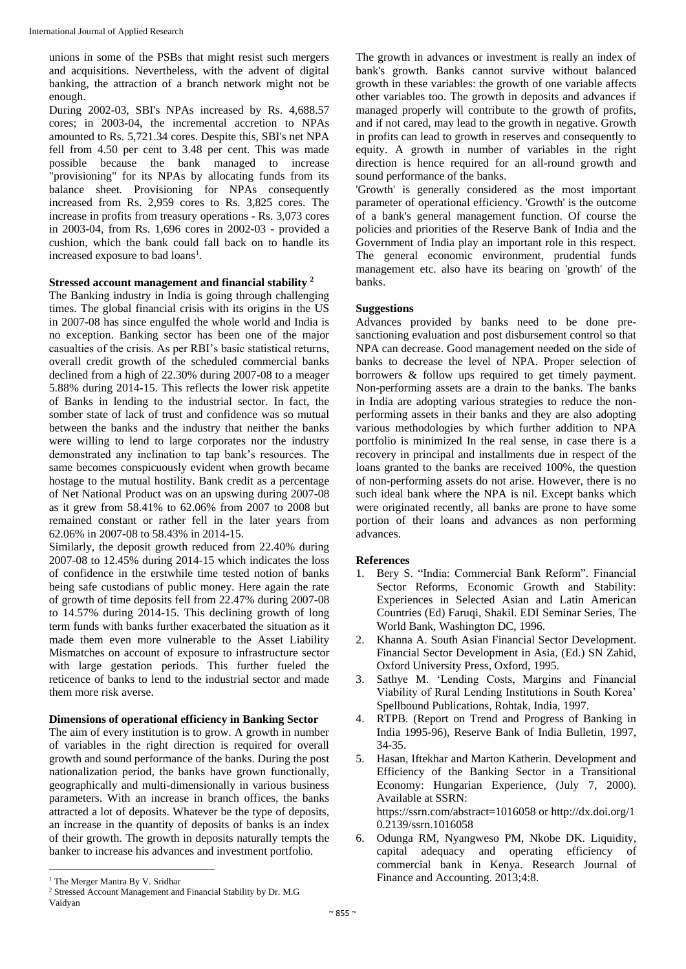unions in some of the PSBs that might resist such mergers and acquisitions. Nevertheless, with the advent of digital banking, the attraction of a branch network might not be enough.

During 2002-03, SBI's NPAs increased by Rs. 4,688.57 cores; in 2003-04, the incremental accretion to NPAs amounted to Rs. 5,721.34 cores. Despite this, SBI's net NPA fell from 4.50 per cent to 3.48 per cent. This was made possible because the bank managed to increase "provisioning" for its NPAs by allocating funds from its balance sheet. Provisioning for NPAs consequently increased from Rs. 2,959 cores to Rs. 3,825 cores. The increase in profits from treasury operations - Rs. 3,073 cores in 2003-04, from Rs. 1,696 cores in 2002-03 - provided a cushion, which the bank could fall back on to handle its increased exposure to bad loans<sup>1</sup>.

# **Stressed account management and financial stability <sup>2</sup>**

The Banking industry in India is going through challenging times. The global financial crisis with its origins in the US in 2007-08 has since engulfed the whole world and India is no exception. Banking sector has been one of the major casualties of the crisis. As per RBI's basic statistical returns, overall credit growth of the scheduled commercial banks declined from a high of 22.30% during 2007-08 to a meager 5.88% during 2014-15. This reflects the lower risk appetite of Banks in lending to the industrial sector. In fact, the somber state of lack of trust and confidence was so mutual between the banks and the industry that neither the banks were willing to lend to large corporates nor the industry demonstrated any inclination to tap bank's resources. The same becomes conspicuously evident when growth became hostage to the mutual hostility. Bank credit as a percentage of Net National Product was on an upswing during 2007-08 as it grew from 58.41% to 62.06% from 2007 to 2008 but remained constant or rather fell in the later years from 62.06% in 2007-08 to 58.43% in 2014-15.

Similarly, the deposit growth reduced from 22.40% during 2007-08 to 12.45% during 2014-15 which indicates the loss of confidence in the erstwhile time tested notion of banks being safe custodians of public money. Here again the rate of growth of time deposits fell from 22.47% during 2007-08 to 14.57% during 2014-15. This declining growth of long term funds with banks further exacerbated the situation as it made them even more vulnerable to the Asset Liability Mismatches on account of exposure to infrastructure sector with large gestation periods. This further fueled the reticence of banks to lend to the industrial sector and made them more risk averse.

## **Dimensions of operational efficiency in Banking Sector**

The aim of every institution is to grow. A growth in number of variables in the right direction is required for overall growth and sound performance of the banks. During the post nationalization period, the banks have grown functionally, geographically and multi-dimensionally in various business parameters. With an increase in branch offices, the banks attracted a lot of deposits. Whatever be the type of deposits, an increase in the quantity of deposits of banks is an index of their growth. The growth in deposits naturally tempts the banker to increase his advances and investment portfolio.

 $\overline{a}$ 

The growth in advances or investment is really an index of bank's growth. Banks cannot survive without balanced growth in these variables: the growth of one variable affects other variables too. The growth in deposits and advances if managed properly will contribute to the growth of profits, and if not cared, may lead to the growth in negative. Growth in profits can lead to growth in reserves and consequently to equity. A growth in number of variables in the right direction is hence required for an all-round growth and sound performance of the banks.

'Growth' is generally considered as the most important parameter of operational efficiency. 'Growth' is the outcome of a bank's general management function. Of course the policies and priorities of the Reserve Bank of India and the Government of India play an important role in this respect. The general economic environment, prudential funds management etc. also have its bearing on 'growth' of the banks.

## **Suggestions**

Advances provided by banks need to be done presanctioning evaluation and post disbursement control so that NPA can decrease. Good management needed on the side of banks to decrease the level of NPA. Proper selection of borrowers & follow ups required to get timely payment. Non-performing assets are a drain to the banks. The banks in India are adopting various strategies to reduce the nonperforming assets in their banks and they are also adopting various methodologies by which further addition to NPA portfolio is minimized In the real sense, in case there is a recovery in principal and installments due in respect of the loans granted to the banks are received 100%, the question of non-performing assets do not arise. However, there is no such ideal bank where the NPA is nil. Except banks which were originated recently, all banks are prone to have some portion of their loans and advances as non performing advances.

## **References**

- 1. Bery S. "India: Commercial Bank Reform". Financial Sector Reforms, Economic Growth and Stability: Experiences in Selected Asian and Latin American Countries (Ed) Faruqi, Shakil. EDI Seminar Series, The World Bank, Washington DC, 1996.
- 2. Khanna A. South Asian Financial Sector Development. Financial Sector Development in Asia, (Ed.) SN Zahid, Oxford University Press, Oxford, 1995.
- 3. Sathye M. 'Lending Costs, Margins and Financial Viability of Rural Lending Institutions in South Korea' Spellbound Publications, Rohtak, India, 1997.
- 4. RTPB. (Report on Trend and Progress of Banking in India 1995-96), Reserve Bank of India Bulletin, 1997, 34-35.
- 5. Hasan, Iftekhar and Marton Katherin. Development and Efficiency of the Banking Sector in a Transitional Economy: Hungarian Experience, (July 7, 2000). Available at SSRN: https://ssrn.com/abstract=1016058 or http://dx.doi.org/1 0.2139/ssrn.1016058
- 6. Odunga RM, Nyangweso PM, Nkobe DK. Liquidity, capital adequacy and operating efficiency of commercial bank in Kenya. Research Journal of Finance and Accounting. 2013;4:8.

<sup>&</sup>lt;sup>1</sup> The Merger Mantra By V. Sridhar

<sup>2</sup> Stressed Account Management and Financial Stability by Dr. M.G Vaidyan